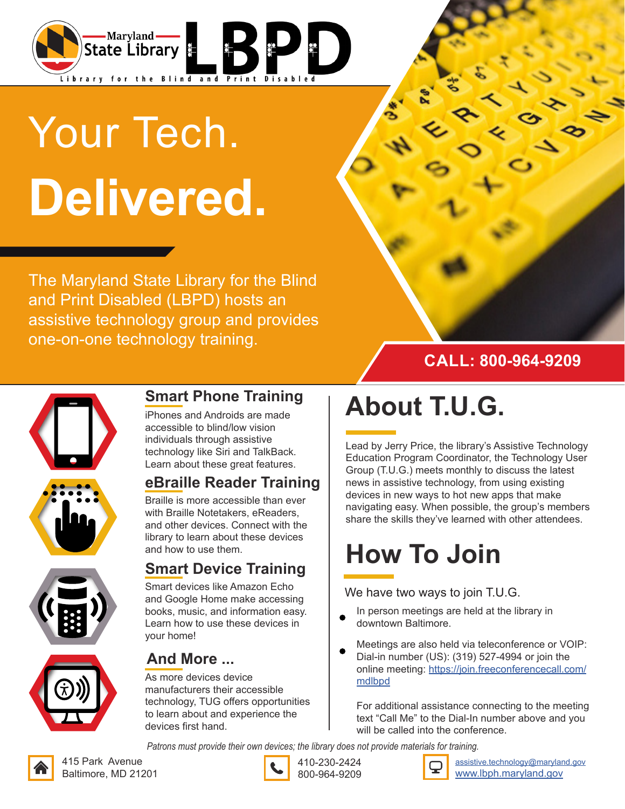

# Your Tech. **Delivered.**

The Maryland State Library for the Blind and Print Disabled (LBPD) hosts an assistive technology group and provides one-on-one technology training.









#### **Smart Phone Training**

iPhones and Androids are made accessible to blind/low vision individuals through assistive technology like Siri and TalkBack. Learn about these great features.

#### **eBraille Reader Training**

Braille is more accessible than ever with Braille Notetakers, eReaders, and other devices. Connect with the library to learn about these devices and how to use them.

#### **Smart Device Training**

Smart devices like Amazon Echo and Google Home make accessing books, music, and information easy. Learn how to use these devices in your home!



#### **And More ...**

As more devices device manufacturers their accessible technology, TUG offers opportunities to learn about and experience the devices first hand.

## **About T.U.G.**

Lead by Jerry Price, the library's Assistive Technology Education Program Coordinator, the Technology User Group (T.U.G.) meets monthly to discuss the latest news in assistive technology, from using existing devices in new ways to hot new apps that make navigating easy. When possible, the group's members share the skills they've learned with other attendees.

## **How To Join**

#### We have two ways to join T.U.G.

- In person meetings are held at the library in downtown Baltimore.
- Meetings are also held via teleconference or VOIP: Dial-in number (US): (319) 527-4994 or join the online meeting: https://join.freeconferencecall.com/ mdlbpd

For additional assistance connecting to the meeting text "Call Me" to the Dial-In number above and you will be called into the conference.

*Patrons must provide their own devices; the library does not provide materials for training.*





410-230-2424 800-964-9209



assistive.technology@maryland.gov www.lbph.maryland.gov